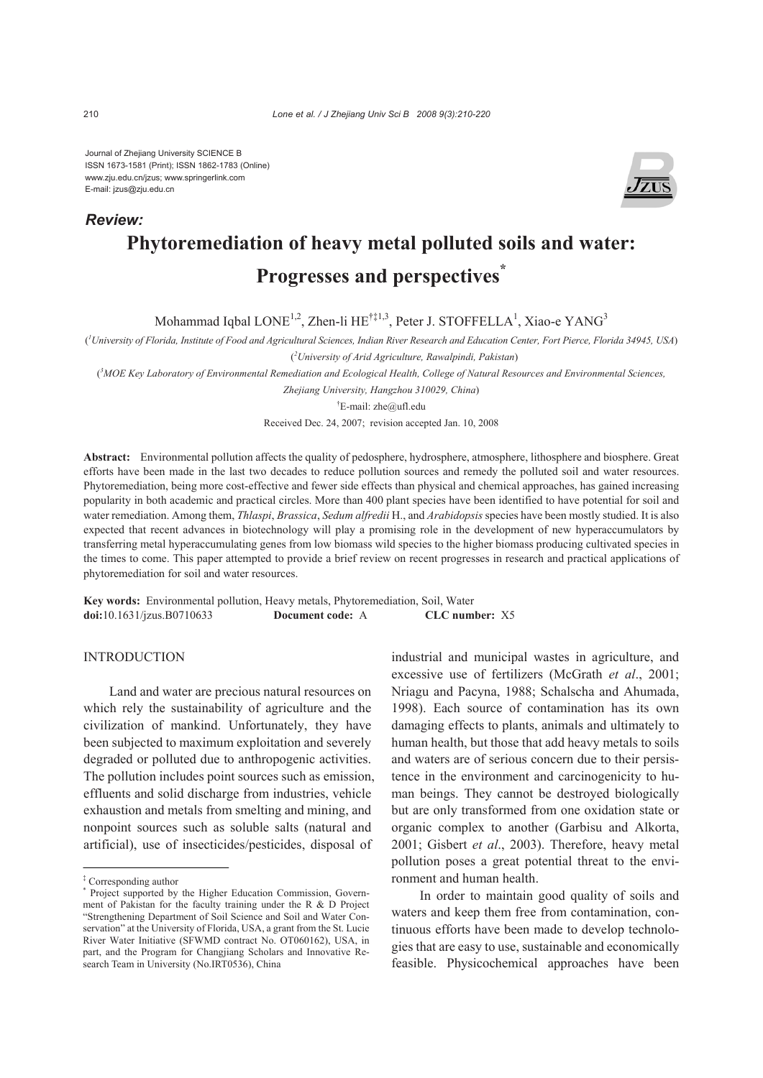Journal of Zhejiang University SCIENCE B ISSN 1673-1581 (Print); ISSN 1862-1783 (Online) www.zju.edu.cn/jzus; www.springerlink.com E-mail: jzus@zju.edu.cn



# **Phytoremediation of heavy metal polluted soils and water: Progresses and perspectives\***

Mohammad Iqbal  $\text{LONE}^{1,2}$ , Zhen-li HE<sup>†‡1,3</sup>, Peter J. STOFFELLA<sup>1</sup>, Xiao-e YANG<sup>3</sup>

( *1 University of Florida, Institute of Food and Agricultural Sciences, Indian River Research and Education Center, Fort Pierce, Florida 34945, USA*)

( *2 University of Arid Agriculture, Rawalpindi, Pakistan*)

( *3 MOE Key Laboratory of Environmental Remediation and Ecological Health, College of Natural Resources and Environmental Sciences,*

*Zhejiang University, Hangzhou 310029, China*)

† E-mail: zhe@ufl.edu

Received Dec. 24, 2007; revision accepted Jan. 10, 2008

**Abstract:** Environmental pollution affects the quality of pedosphere, hydrosphere, atmosphere, lithosphere and biosphere. Great efforts have been made in the last two decades to reduce pollution sources and remedy the polluted soil and water resources. Phytoremediation, being more cost-effective and fewer side effects than physical and chemical approaches, has gained increasing popularity in both academic and practical circles. More than 400 plant species have been identified to have potential for soil and water remediation. Among them, *Thlaspi*, *Brassica*, *Sedum alfredii* H., and *Arabidopsis* species have been mostly studied. It is also expected that recent advances in biotechnology will play a promising role in the development of new hyperaccumulators by transferring metal hyperaccumulating genes from low biomass wild species to the higher biomass producing cultivated species in the times to come. This paper attempted to provide a brief review on recent progresses in research and practical applications of phytoremediation for soil and water resources.

**Key words:** Environmental pollution, Heavy metals, Phytoremediation, Soil, Water **doi:**10.1631/jzus.B0710633 **Document code:** A **CLC number:** X5

#### **INTRODUCTION**

Land and water are precious natural resources on which rely the sustainability of agriculture and the civilization of mankind. Unfortunately, they have been subjected to maximum exploitation and severely degraded or polluted due to anthropogenic activities. The pollution includes point sources such as emission, effluents and solid discharge from industries, vehicle exhaustion and metals from smelting and mining, and nonpoint sources such as soluble salts (natural and artificial), use of insecticides/pesticides, disposal of

industrial and municipal wastes in agriculture, and excessive use of fertilizers (McGrath *et al*., 2001; Nriagu and Pacyna, 1988; Schalscha and Ahumada, 1998). Each source of contamination has its own damaging effects to plants, animals and ultimately to human health, but those that add heavy metals to soils and waters are of serious concern due to their persistence in the environment and carcinogenicity to human beings. They cannot be destroyed biologically but are only transformed from one oxidation state or organic complex to another (Garbisu and Alkorta, 2001; Gisbert *et al*., 2003). Therefore, heavy metal pollution poses a great potential threat to the environment and human health.

In order to maintain good quality of soils and waters and keep them free from contamination, continuous efforts have been made to develop technologies that are easy to use, sustainable and economically feasible. Physicochemical approaches have been

*Review:*

<sup>‡</sup> Corresponding author

<sup>\*</sup> Project supported by the Higher Education Commission, Government of Pakistan for the faculty training under the R & D Project "Strengthening Department of Soil Science and Soil and Water Conservation" at the University of Florida, USA, a grant from the St. Lucie River Water Initiative (SFWMD contract No. OT060162), USA, in part, and the Program for Changjiang Scholars and Innovative Research Team in University (No.IRT0536), China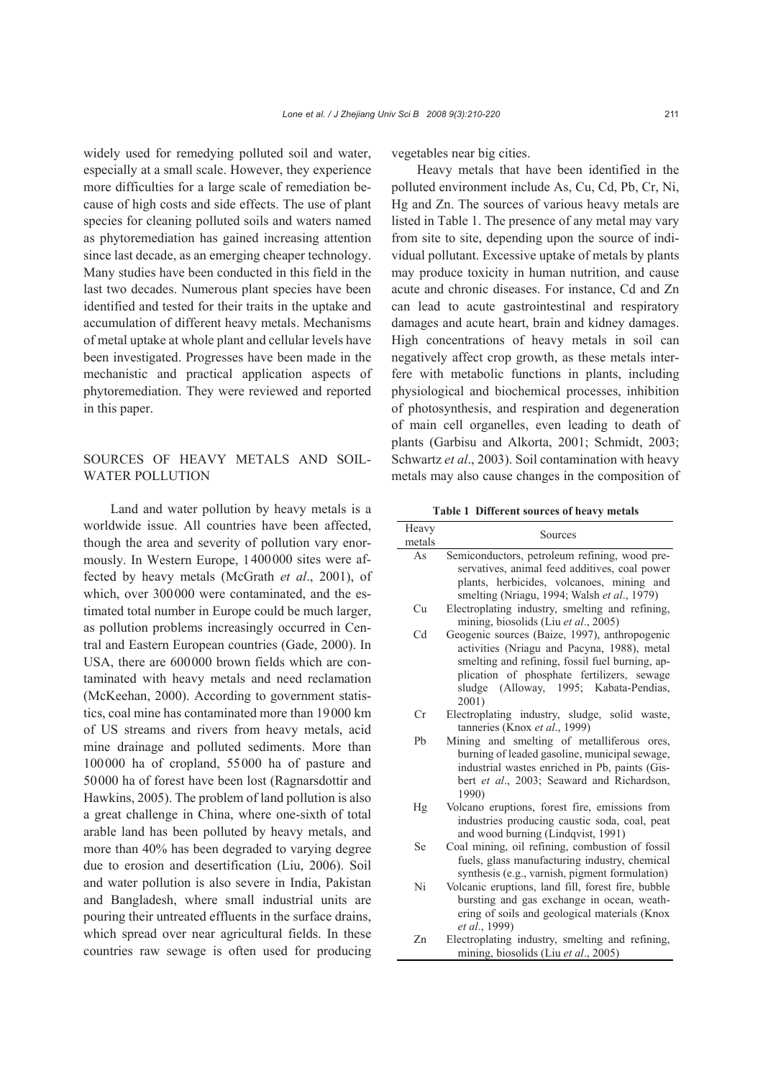widely used for remedying polluted soil and water, especially at a small scale. However, they experience more difficulties for a large scale of remediation because of high costs and side effects. The use of plant species for cleaning polluted soils and waters named as phytoremediation has gained increasing attention since last decade, as an emerging cheaper technology. Many studies have been conducted in this field in the last two decades. Numerous plant species have been identified and tested for their traits in the uptake and accumulation of different heavy metals. Mechanisms of metal uptake at whole plant and cellular levels have been investigated. Progresses have been made in the mechanistic and practical application aspects of phytoremediation. They were reviewed and reported in this paper.

# SOURCES OF HEAVY METALS AND SOIL-WATER POLLUTION

Land and water pollution by heavy metals is a worldwide issue. All countries have been affected, though the area and severity of pollution vary enormously. In Western Europe, 1400000 sites were affected by heavy metals (McGrath *et al*., 2001), of which, over 300000 were contaminated, and the estimated total number in Europe could be much larger, as pollution problems increasingly occurred in Central and Eastern European countries (Gade, 2000). In USA, there are 600000 brown fields which are contaminated with heavy metals and need reclamation (McKeehan, 2000). According to government statistics, coal mine has contaminated more than 19000 km of US streams and rivers from heavy metals, acid mine drainage and polluted sediments. More than 100000 ha of cropland, 55000 ha of pasture and 50000 ha of forest have been lost (Ragnarsdottir and Hawkins, 2005). The problem of land pollution is also a great challenge in China, where one-sixth of total arable land has been polluted by heavy metals, and more than 40% has been degraded to varying degree due to erosion and desertification (Liu, 2006). Soil and water pollution is also severe in India, Pakistan and Bangladesh, where small industrial units are pouring their untreated effluents in the surface drains, which spread over near agricultural fields. In these countries raw sewage is often used for producing vegetables near big cities.

Heavy metals that have been identified in the polluted environment include As, Cu, Cd, Pb, Cr, Ni, Hg and Zn. The sources of various heavy metals are listed in Table 1. The presence of any metal may vary from site to site, depending upon the source of individual pollutant. Excessive uptake of metals by plants may produce toxicity in human nutrition, and cause acute and chronic diseases. For instance, Cd and Zn can lead to acute gastrointestinal and respiratory damages and acute heart, brain and kidney damages. High concentrations of heavy metals in soil can negatively affect crop growth, as these metals interfere with metabolic functions in plants, including physiological and biochemical processes, inhibition of photosynthesis, and respiration and degeneration of main cell organelles, even leading to death of plants (Garbisu and Alkorta, 2001; Schmidt, 2003; Schwartz *et al*., 2003). Soil contamination with heavy metals may also cause changes in the composition of

**Table 1 Different sources of heavy metals**

| Heavy<br>metals | Sources                                                                                          |  |  |  |
|-----------------|--------------------------------------------------------------------------------------------------|--|--|--|
| As              | Semiconductors, petroleum refining, wood pre-                                                    |  |  |  |
|                 | servatives, animal feed additives, coal power<br>plants, herbicides, volcanoes, mining and       |  |  |  |
|                 | smelting (Nriagu, 1994; Walsh et al., 1979)                                                      |  |  |  |
| Cu              | Electroplating industry, smelting and refining,<br>mining, biosolids (Liu et al., 2005)          |  |  |  |
| Cd              | Geogenic sources (Baize, 1997), anthropogenic                                                    |  |  |  |
|                 | activities (Nriagu and Pacyna, 1988), metal                                                      |  |  |  |
|                 | smelting and refining, fossil fuel burning, ap-<br>plication of phosphate fertilizers, sewage    |  |  |  |
|                 | (Alloway, 1995; Kabata-Pendias,<br>sludge                                                        |  |  |  |
|                 | 2001)                                                                                            |  |  |  |
| Cr              | Electroplating industry, sludge, solid waste,<br>tanneries (Knox et al., 1999)                   |  |  |  |
| Pb              | Mining and smelting of metalliferous ores,                                                       |  |  |  |
|                 | burning of leaded gasoline, municipal sewage,                                                    |  |  |  |
|                 | industrial wastes enriched in Pb, paints (Gis-<br>bert et al., 2003; Seaward and Richardson,     |  |  |  |
|                 | 1990)                                                                                            |  |  |  |
| Hg              | Volcano eruptions, forest fire, emissions from                                                   |  |  |  |
|                 | industries producing caustic soda, coal, peat                                                    |  |  |  |
| Se              | and wood burning (Lindqvist, 1991)                                                               |  |  |  |
|                 | Coal mining, oil refining, combustion of fossil<br>fuels, glass manufacturing industry, chemical |  |  |  |
|                 | synthesis (e.g., varnish, pigment formulation)                                                   |  |  |  |
| Ni              | Volcanic eruptions, land fill, forest fire, bubble                                               |  |  |  |
|                 | bursting and gas exchange in ocean, weath-                                                       |  |  |  |
|                 | ering of soils and geological materials (Knox                                                    |  |  |  |
| Zn              | <i>et al.</i> , 1999)<br>Electroplating industry, smelting and refining,                         |  |  |  |
|                 | mining, biosolids (Liu et al., 2005)                                                             |  |  |  |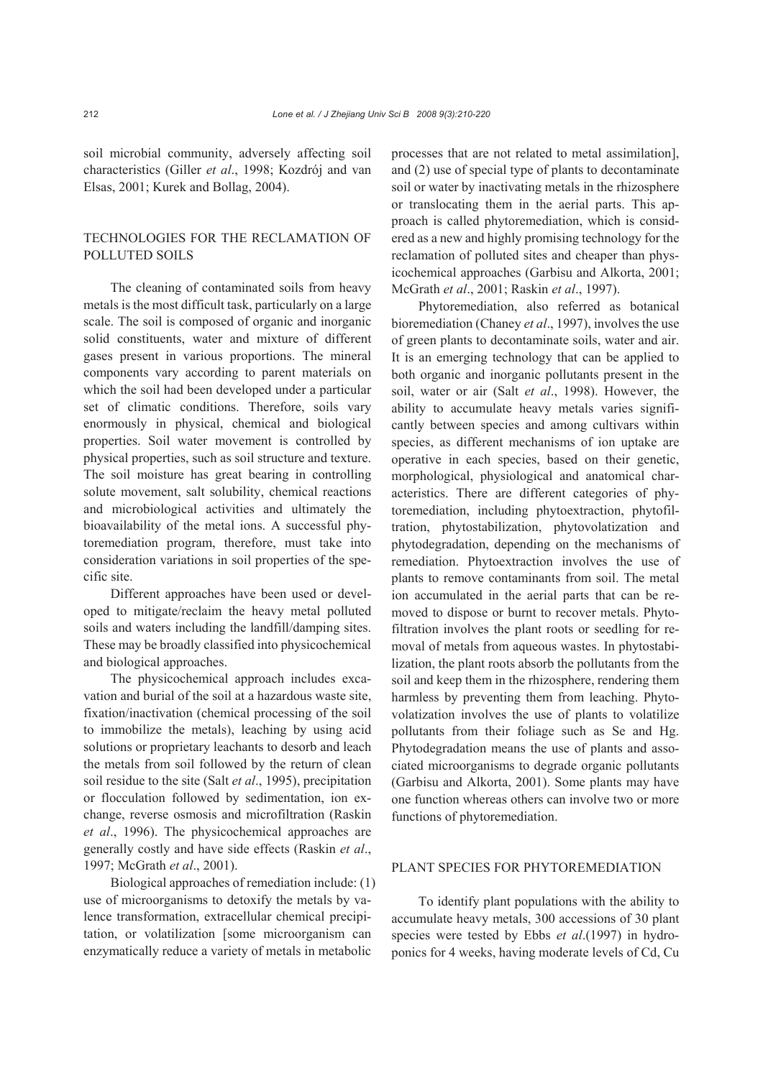soil microbial community, adversely affecting soil characteristics (Giller *et al*., 1998; Kozdrój and van Elsas, 2001; Kurek and Bollag, 2004).

# TECHNOLOGIES FOR THE RECLAMATION OF POLLUTED SOILS

The cleaning of contaminated soils from heavy metals is the most difficult task, particularly on a large scale. The soil is composed of organic and inorganic solid constituents, water and mixture of different gases present in various proportions. The mineral components vary according to parent materials on which the soil had been developed under a particular set of climatic conditions. Therefore, soils vary enormously in physical, chemical and biological properties. Soil water movement is controlled by physical properties, such as soil structure and texture. The soil moisture has great bearing in controlling solute movement, salt solubility, chemical reactions and microbiological activities and ultimately the bioavailability of the metal ions. A successful phytoremediation program, therefore, must take into consideration variations in soil properties of the specific site.

Different approaches have been used or developed to mitigate/reclaim the heavy metal polluted soils and waters including the landfill/damping sites. These may be broadly classified into physicochemical and biological approaches.

The physicochemical approach includes excavation and burial of the soil at a hazardous waste site, fixation/inactivation (chemical processing of the soil to immobilize the metals), leaching by using acid solutions or proprietary leachants to desorb and leach the metals from soil followed by the return of clean soil residue to the site (Salt *et al*., 1995), precipitation or flocculation followed by sedimentation, ion exchange, reverse osmosis and microfiltration (Raskin *et al*., 1996). The physicochemical approaches are generally costly and have side effects (Raskin *et al*., 1997; McGrath *et al*., 2001).

Biological approaches of remediation include: (1) use of microorganisms to detoxify the metals by valence transformation, extracellular chemical precipitation, or volatilization [some microorganism can enzymatically reduce a variety of metals in metabolic

processes that are not related to metal assimilation], and (2) use of special type of plants to decontaminate soil or water by inactivating metals in the rhizosphere or translocating them in the aerial parts. This approach is called phytoremediation, which is considered as a new and highly promising technology for the reclamation of polluted sites and cheaper than physicochemical approaches (Garbisu and Alkorta, 2001; McGrath *et al*., 2001; Raskin *et al*., 1997).

Phytoremediation, also referred as botanical bioremediation (Chaney *et al*., 1997), involves the use of green plants to decontaminate soils, water and air. It is an emerging technology that can be applied to both organic and inorganic pollutants present in the soil, water or air (Salt *et al*., 1998). However, the ability to accumulate heavy metals varies significantly between species and among cultivars within species, as different mechanisms of ion uptake are operative in each species, based on their genetic, morphological, physiological and anatomical characteristics. There are different categories of phytoremediation, including phytoextraction, phytofiltration, phytostabilization, phytovolatization and phytodegradation, depending on the mechanisms of remediation. Phytoextraction involves the use of plants to remove contaminants from soil. The metal ion accumulated in the aerial parts that can be removed to dispose or burnt to recover metals. Phytofiltration involves the plant roots or seedling for removal of metals from aqueous wastes. In phytostabilization, the plant roots absorb the pollutants from the soil and keep them in the rhizosphere, rendering them harmless by preventing them from leaching. Phytovolatization involves the use of plants to volatilize pollutants from their foliage such as Se and Hg. Phytodegradation means the use of plants and associated microorganisms to degrade organic pollutants (Garbisu and Alkorta, 2001). Some plants may have one function whereas others can involve two or more functions of phytoremediation.

## PLANT SPECIES FOR PHYTOREMEDIATION

To identify plant populations with the ability to accumulate heavy metals, 300 accessions of 30 plant species were tested by Ebbs *et al*.(1997) in hydroponics for 4 weeks, having moderate levels of Cd, Cu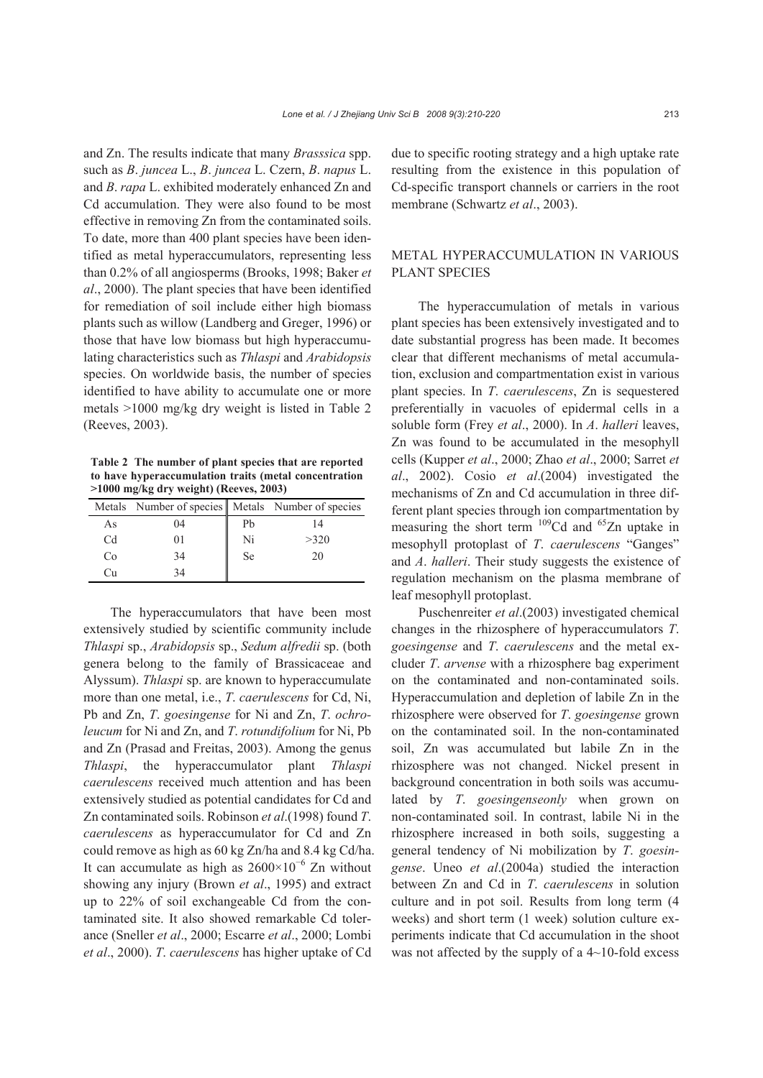and Zn. The results indicate that many *Brasssica* spp. such as *B*. *juncea* L., *B*. *juncea* L. Czern, *B*. *napus* L. and *B*. *rapa* L. exhibited moderately enhanced Zn and Cd accumulation. They were also found to be most effective in removing Zn from the contaminated soils. To date, more than 400 plant species have been identified as metal hyperaccumulators, representing less than 0.2% of all angiosperms (Brooks, 1998; Baker *et al*., 2000). The plant species that have been identified for remediation of soil include either high biomass plants such as willow (Landberg and Greger, 1996) or those that have low biomass but high hyperaccumulating characteristics such as *Thlaspi* and *Arabidopsis* species. On worldwide basis, the number of species identified to have ability to accumulate one or more metals >1000 mg/kg dry weight is listed in Table 2 (Reeves, 2003).

**Table 2 The number of plant species that are reported to have hyperaccumulation traits (metal concentration >1000 mg/kg dry weight) (Reeves, 2003)** 

|                | Metals Number of species Metals Number of species |    |      |
|----------------|---------------------------------------------------|----|------|
| As             | 04                                                | Pb | 14   |
| C <sub>d</sub> | 01                                                | Ni | >320 |
| Co             | 34                                                | Se | 20   |
| Сп             | 34                                                |    |      |

The hyperaccumulators that have been most extensively studied by scientific community include *Thlaspi* sp., *Arabidopsis* sp., *Sedum alfredii* sp. (both genera belong to the family of Brassicaceae and Alyssum). *Thlaspi* sp. are known to hyperaccumulate more than one metal, i.e., *T*. *caerulescens* for Cd, Ni, Pb and Zn, *T*. *goesingense* for Ni and Zn, *T*. *ochroleucum* for Ni and Zn, and *T*. *rotundifolium* for Ni, Pb and Zn (Prasad and Freitas, 2003). Among the genus *Thlaspi*, the hyperaccumulator plant *Thlaspi caerulescens* received much attention and has been extensively studied as potential candidates for Cd and Zn contaminated soils. Robinson *et al*.(1998) found *T*. *caerulescens* as hyperaccumulator for Cd and Zn could remove as high as 60 kg Zn/ha and 8.4 kg Cd/ha. It can accumulate as high as  $2600 \times 10^{-6}$  Zn without showing any injury (Brown *et al*., 1995) and extract up to 22% of soil exchangeable Cd from the contaminated site. It also showed remarkable Cd tolerance (Sneller *et al*., 2000; Escarre *et al*., 2000; Lombi *et al*., 2000). *T*. *caerulescens* has higher uptake of Cd

due to specific rooting strategy and a high uptake rate resulting from the existence in this population of Cd-specific transport channels or carriers in the root membrane (Schwartz *et al*., 2003).

### METAL HYPERACCUMULATION IN VARIOUS PLANT SPECIES

The hyperaccumulation of metals in various plant species has been extensively investigated and to date substantial progress has been made. It becomes clear that different mechanisms of metal accumulation, exclusion and compartmentation exist in various plant species. In *T*. *caerulescens*, Zn is sequestered preferentially in vacuoles of epidermal cells in a soluble form (Frey *et al*., 2000). In *A*. *halleri* leaves, Zn was found to be accumulated in the mesophyll cells (Kupper *et al*., 2000; Zhao *et al*., 2000; Sarret *et al*., 2002). Cosio *et al*.(2004) investigated the mechanisms of Zn and Cd accumulation in three different plant species through ion compartmentation by measuring the short term <sup>109</sup>Cd and <sup>65</sup>Zn uptake in mesophyll protoplast of *T*. *caerulescens* "Ganges" and *A*. *halleri*. Their study suggests the existence of regulation mechanism on the plasma membrane of leaf mesophyll protoplast.

Puschenreiter *et al*.(2003) investigated chemical changes in the rhizosphere of hyperaccumulators *T*. *goesingense* and *T*. *caerulescens* and the metal excluder *T*. *arvense* with a rhizosphere bag experiment on the contaminated and non-contaminated soils. Hyperaccumulation and depletion of labile Zn in the rhizosphere were observed for *T*. *goesingense* grown on the contaminated soil. In the non-contaminated soil, Zn was accumulated but labile Zn in the rhizosphere was not changed. Nickel present in background concentration in both soils was accumulated by *T*. *goesingenseonly* when grown on non-contaminated soil. In contrast, labile Ni in the rhizosphere increased in both soils, suggesting a general tendency of Ni mobilization by *T*. *goesingense*. Uneo *et al*.(2004a) studied the interaction between Zn and Cd in *T*. *caerulescens* in solution culture and in pot soil. Results from long term (4 weeks) and short term (1 week) solution culture experiments indicate that Cd accumulation in the shoot was not affected by the supply of a  $4\negmedspace\negmedspace\sim$  10-fold excess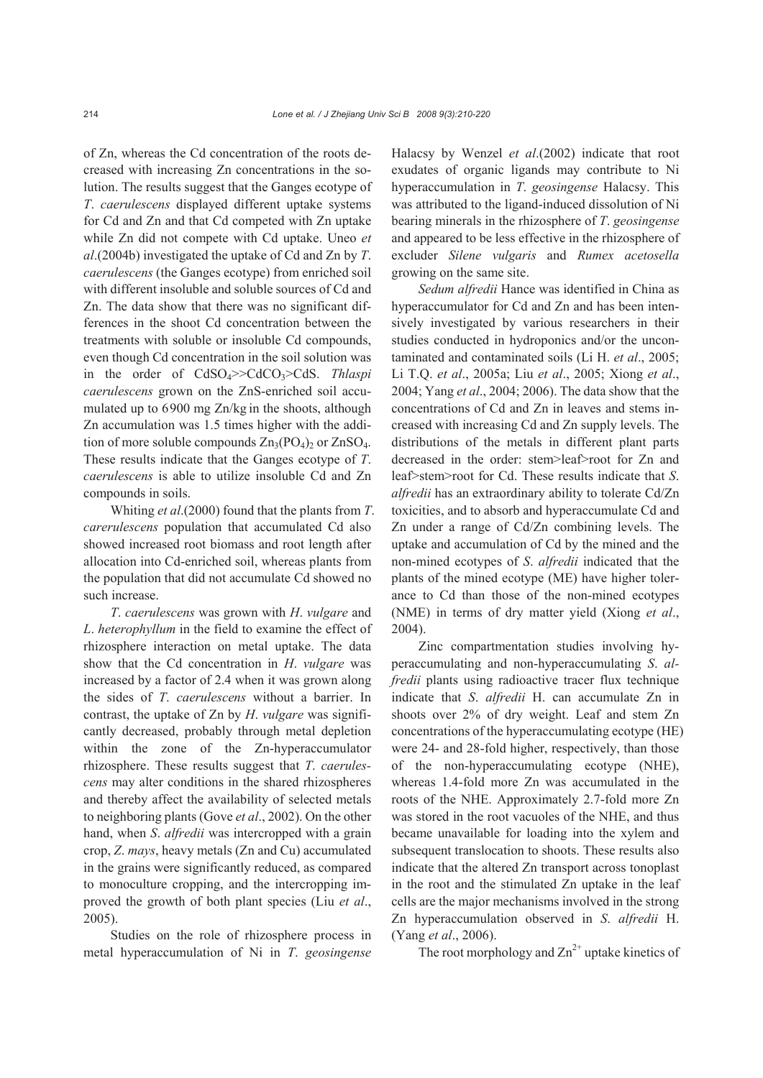of Zn, whereas the Cd concentration of the roots decreased with increasing Zn concentrations in the solution. The results suggest that the Ganges ecotype of *T*. *caerulescens* displayed different uptake systems for Cd and Zn and that Cd competed with Zn uptake while Zn did not compete with Cd uptake. Uneo *et al*.(2004b) investigated the uptake of Cd and Zn by *T*. *caerulescens* (the Ganges ecotype) from enriched soil with different insoluble and soluble sources of Cd and Zn. The data show that there was no significant differences in the shoot Cd concentration between the treatments with soluble or insoluble Cd compounds, even though Cd concentration in the soil solution was in the order of CdSO4>>CdCO3>CdS. *Thlaspi caerulescens* grown on the ZnS-enriched soil accumulated up to 6900 mg Zn/kg in the shoots, although Zn accumulation was 1.5 times higher with the addition of more soluble compounds  $Zn_3(PO_4)$  or  $ZnSO_4$ . These results indicate that the Ganges ecotype of *T*. *caerulescens* is able to utilize insoluble Cd and Zn compounds in soils.

Whiting *et al*.(2000) found that the plants from *T*. *carerulescens* population that accumulated Cd also showed increased root biomass and root length after allocation into Cd-enriched soil, whereas plants from the population that did not accumulate Cd showed no such increase.

*T*. *caerulescens* was grown with *H*. *vulgare* and *L*. *heterophyllum* in the field to examine the effect of rhizosphere interaction on metal uptake. The data show that the Cd concentration in *H*. *vulgare* was increased by a factor of 2.4 when it was grown along the sides of *T*. *caerulescens* without a barrier. In contrast, the uptake of Zn by *H*. *vulgare* was significantly decreased, probably through metal depletion within the zone of the Zn-hyperaccumulator rhizosphere. These results suggest that *T*. *caerulescens* may alter conditions in the shared rhizospheres and thereby affect the availability of selected metals to neighboring plants (Gove *et al*., 2002). On the other hand, when *S*. *alfredii* was intercropped with a grain crop, *Z*. *mays*, heavy metals (Zn and Cu) accumulated in the grains were significantly reduced, as compared to monoculture cropping, and the intercropping improved the growth of both plant species (Liu *et al*., 2005).

Studies on the role of rhizosphere process in metal hyperaccumulation of Ni in *T*. *geosingense* Halacsy by Wenzel *et al*.(2002) indicate that root exudates of organic ligands may contribute to Ni hyperaccumulation in *T*. *geosingense* Halacsy. This was attributed to the ligand-induced dissolution of Ni bearing minerals in the rhizosphere of *T*. *geosingense* and appeared to be less effective in the rhizosphere of excluder *Silene vulgaris* and *Rumex acetosella* growing on the same site.

*Sedum alfredii* Hance was identified in China as hyperaccumulator for Cd and Zn and has been intensively investigated by various researchers in their studies conducted in hydroponics and/or the uncontaminated and contaminated soils (Li H. *et al*., 2005; Li T.Q. *et al*., 2005a; Liu *et al*., 2005; Xiong *et al*., 2004; Yang *et al*., 2004; 2006). The data show that the concentrations of Cd and Zn in leaves and stems increased with increasing Cd and Zn supply levels. The distributions of the metals in different plant parts decreased in the order: stem>leaf>root for Zn and leaf>stem>root for Cd. These results indicate that *S*. *alfredii* has an extraordinary ability to tolerate Cd/Zn toxicities, and to absorb and hyperaccumulate Cd and Zn under a range of Cd/Zn combining levels. The uptake and accumulation of Cd by the mined and the non-mined ecotypes of *S*. *alfredii* indicated that the plants of the mined ecotype (ME) have higher tolerance to Cd than those of the non-mined ecotypes (NME) in terms of dry matter yield (Xiong *et al*., 2004).

Zinc compartmentation studies involving hyperaccumulating and non-hyperaccumulating *S*. *alfredii* plants using radioactive tracer flux technique indicate that *S*. *alfredii* H. can accumulate Zn in shoots over 2% of dry weight. Leaf and stem Zn concentrations of the hyperaccumulating ecotype (HE) were 24- and 28-fold higher, respectively, than those of the non-hyperaccumulating ecotype (NHE), whereas 1.4-fold more Zn was accumulated in the roots of the NHE. Approximately 2.7-fold more Zn was stored in the root vacuoles of the NHE, and thus became unavailable for loading into the xylem and subsequent translocation to shoots. These results also indicate that the altered Zn transport across tonoplast in the root and the stimulated Zn uptake in the leaf cells are the major mechanisms involved in the strong Zn hyperaccumulation observed in *S*. *alfredii* H. (Yang *et al*., 2006).

The root morphology and  $\text{Zn}^{2+}$  uptake kinetics of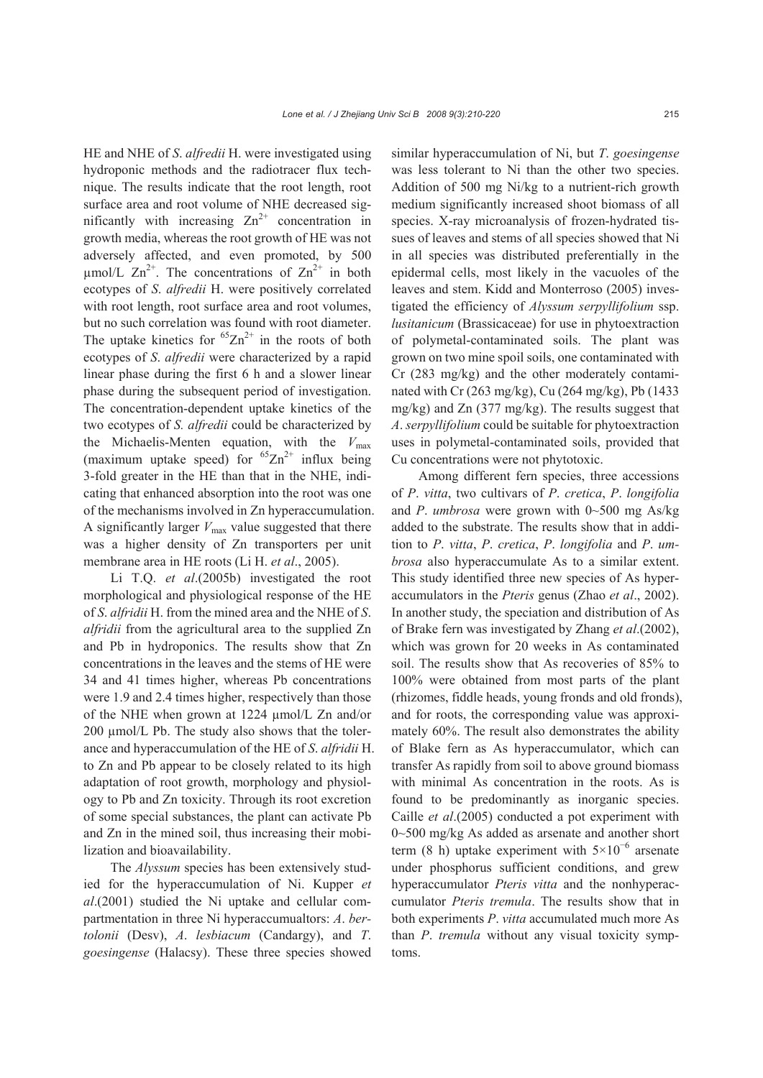HE and NHE of *S*. *alfredii* H. were investigated using hydroponic methods and the radiotracer flux technique. The results indicate that the root length, root surface area and root volume of NHE decreased significantly with increasing  $Zn^{2+}$  concentration in growth media, whereas the root growth of HE was not adversely affected, and even promoted, by 500  $\mu$ mol/L  $\text{Zn}^{2+}$ . The concentrations of  $\text{Zn}^{2+}$  in both ecotypes of *S*. *alfredii* H. were positively correlated with root length, root surface area and root volumes, but no such correlation was found with root diameter. The uptake kinetics for  ${}^{65}Zn^{2+}$  in the roots of both ecotypes of *S*. *alfredii* were characterized by a rapid linear phase during the first 6 h and a slower linear phase during the subsequent period of investigation. The concentration-dependent uptake kinetics of the two ecotypes of *S. alfredii* could be characterized by the Michaelis-Menten equation, with the  $V_{\text{max}}$ (maximum uptake speed) for  ${}^{65}Zn^{2+}$  influx being 3-fold greater in the HE than that in the NHE, indicating that enhanced absorption into the root was one of the mechanisms involved in Zn hyperaccumulation. A significantly larger  $V_{\text{max}}$  value suggested that there was a higher density of Zn transporters per unit membrane area in HE roots (Li H. *et al*., 2005).

Li T.Q. *et al*.(2005b) investigated the root morphological and physiological response of the HE of *S*. *alfridii* H. from the mined area and the NHE of *S*. *alfridii* from the agricultural area to the supplied Zn and Pb in hydroponics. The results show that Zn concentrations in the leaves and the stems of HE were 34 and 41 times higher, whereas Pb concentrations were 1.9 and 2.4 times higher, respectively than those of the NHE when grown at 1224 µmol/L Zn and/or 200 µmol/L Pb. The study also shows that the tolerance and hyperaccumulation of the HE of *S*. *alfridii* H. to Zn and Pb appear to be closely related to its high adaptation of root growth, morphology and physiology to Pb and Zn toxicity. Through its root excretion of some special substances, the plant can activate Pb and Zn in the mined soil, thus increasing their mobilization and bioavailability.

The *Alyssum* species has been extensively studied for the hyperaccumulation of Ni. Kupper *et al*.(2001) studied the Ni uptake and cellular compartmentation in three Ni hyperaccumualtors: *A*. *bertolonii* (Desv), *A*. *lesbiacum* (Candargy), and *T*. *goesingense* (Halacsy). These three species showed similar hyperaccumulation of Ni, but *T*. *goesingense* was less tolerant to Ni than the other two species. Addition of 500 mg Ni/kg to a nutrient-rich growth medium significantly increased shoot biomass of all species. X-ray microanalysis of frozen-hydrated tissues of leaves and stems of all species showed that Ni in all species was distributed preferentially in the epidermal cells, most likely in the vacuoles of the leaves and stem. Kidd and Monterroso (2005) investigated the efficiency of *Alyssum serpyllifolium* ssp. *lusitanicum* (Brassicaceae) for use in phytoextraction of polymetal-contaminated soils. The plant was grown on two mine spoil soils, one contaminated with Cr (283 mg/kg) and the other moderately contaminated with Cr (263 mg/kg), Cu (264 mg/kg), Pb (1433 mg/kg) and Zn (377 mg/kg). The results suggest that *A*. *serpyllifolium* could be suitable for phytoextraction uses in polymetal-contaminated soils, provided that Cu concentrations were not phytotoxic.

Among different fern species, three accessions of *P*. *vitta*, two cultivars of *P*. *cretica*, *P*. *longifolia* and *P*. *umbrosa* were grown with 0~500 mg As/kg added to the substrate. The results show that in addition to *P*. *vitta*, *P*. *cretica*, *P*. *longifolia* and *P*. *umbrosa* also hyperaccumulate As to a similar extent. This study identified three new species of As hyperaccumulators in the *Pteris* genus (Zhao *et al*., 2002). In another study, the speciation and distribution of As of Brake fern was investigated by Zhang *et al*.(2002), which was grown for 20 weeks in As contaminated soil. The results show that As recoveries of 85% to 100% were obtained from most parts of the plant (rhizomes, fiddle heads, young fronds and old fronds), and for roots, the corresponding value was approximately 60%. The result also demonstrates the ability of Blake fern as As hyperaccumulator, which can transfer As rapidly from soil to above ground biomass with minimal As concentration in the roots. As is found to be predominantly as inorganic species. Caille *et al*.(2005) conducted a pot experiment with 0~500 mg/kg As added as arsenate and another short term (8 h) uptake experiment with  $5 \times 10^{-6}$  arsenate under phosphorus sufficient conditions, and grew hyperaccumulator *Pteris vitta* and the nonhyperaccumulator *Pteris tremula*. The results show that in both experiments *P*. *vitta* accumulated much more As than *P*. *tremula* without any visual toxicity symptoms.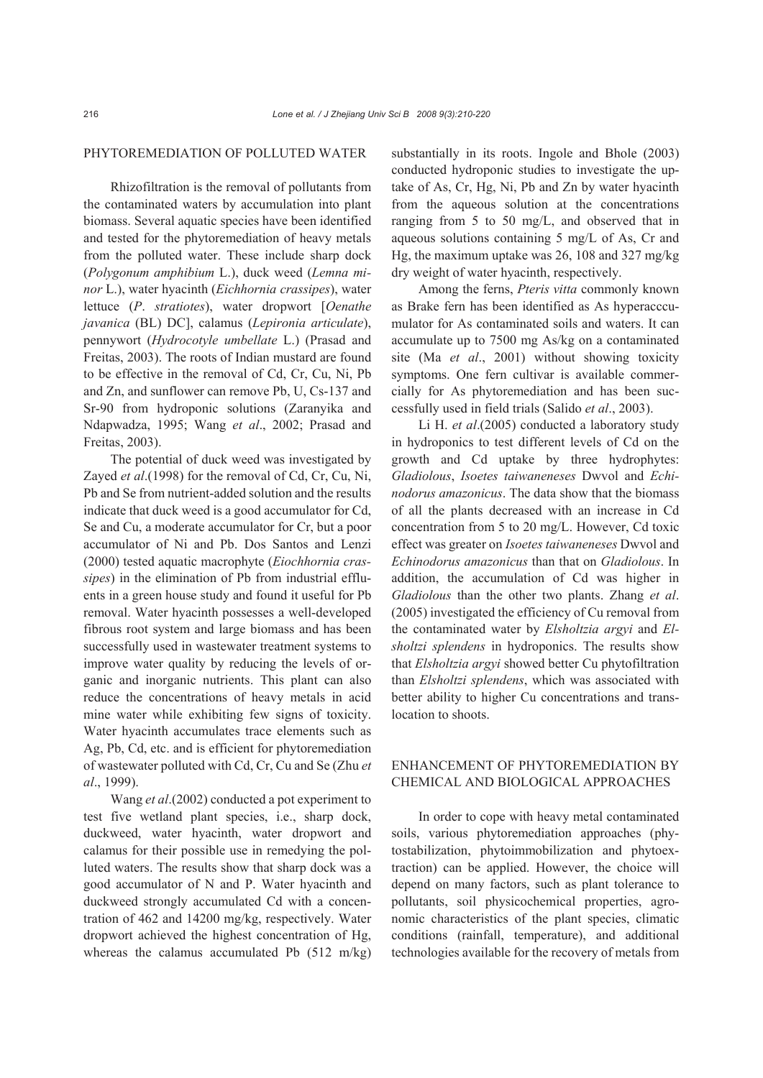#### PHYTOREMEDIATION OF POLLUTED WATER

Rhizofiltration is the removal of pollutants from the contaminated waters by accumulation into plant biomass. Several aquatic species have been identified and tested for the phytoremediation of heavy metals from the polluted water. These include sharp dock (*Polygonum amphibium* L.), duck weed (*Lemna minor* L.), water hyacinth (*Eichhornia crassipes*), water lettuce (*P*. *stratiotes*), water dropwort [*Oenathe javanica* (BL) DC], calamus (*Lepironia articulate*), pennywort (*Hydrocotyle umbellate* L.) (Prasad and Freitas, 2003). The roots of Indian mustard are found to be effective in the removal of Cd, Cr, Cu, Ni, Pb and Zn, and sunflower can remove Pb, U, Cs-137 and Sr-90 from hydroponic solutions (Zaranyika and Ndapwadza, 1995; Wang *et al*., 2002; Prasad and Freitas, 2003).

The potential of duck weed was investigated by Zayed *et al*.(1998) for the removal of Cd, Cr, Cu, Ni, Pb and Se from nutrient-added solution and the results indicate that duck weed is a good accumulator for Cd, Se and Cu, a moderate accumulator for Cr, but a poor accumulator of Ni and Pb. Dos Santos and Lenzi (2000) tested aquatic macrophyte (*Eiochhornia crassipes*) in the elimination of Pb from industrial effluents in a green house study and found it useful for Pb removal. Water hyacinth possesses a well-developed fibrous root system and large biomass and has been successfully used in wastewater treatment systems to improve water quality by reducing the levels of organic and inorganic nutrients. This plant can also reduce the concentrations of heavy metals in acid mine water while exhibiting few signs of toxicity. Water hyacinth accumulates trace elements such as Ag, Pb, Cd, etc. and is efficient for phytoremediation of wastewater polluted with Cd, Cr, Cu and Se (Zhu *et al*., 1999).

Wang *et al*.(2002) conducted a pot experiment to test five wetland plant species, i.e., sharp dock, duckweed, water hyacinth, water dropwort and calamus for their possible use in remedying the polluted waters. The results show that sharp dock was a good accumulator of N and P. Water hyacinth and duckweed strongly accumulated Cd with a concentration of 462 and 14200 mg/kg, respectively. Water dropwort achieved the highest concentration of Hg, whereas the calamus accumulated Pb (512 m/kg) substantially in its roots. Ingole and Bhole (2003) conducted hydroponic studies to investigate the uptake of As, Cr, Hg, Ni, Pb and Zn by water hyacinth from the aqueous solution at the concentrations ranging from 5 to 50 mg/L, and observed that in aqueous solutions containing 5 mg/L of As, Cr and Hg, the maximum uptake was 26, 108 and 327 mg/kg dry weight of water hyacinth, respectively.

Among the ferns, *Pteris vitta* commonly known as Brake fern has been identified as As hyperacccumulator for As contaminated soils and waters. It can accumulate up to 7500 mg As/kg on a contaminated site (Ma *et al*., 2001) without showing toxicity symptoms. One fern cultivar is available commercially for As phytoremediation and has been successfully used in field trials (Salido *et al*., 2003).

Li H. *et al*.(2005) conducted a laboratory study in hydroponics to test different levels of Cd on the growth and Cd uptake by three hydrophytes: *Gladiolous*, *Isoetes taiwaneneses* Dwvol and *Echinodorus amazonicus*. The data show that the biomass of all the plants decreased with an increase in Cd concentration from 5 to 20 mg/L. However, Cd toxic effect was greater on *Isoetes taiwaneneses* Dwvol and *Echinodorus amazonicus* than that on *Gladiolous*. In addition, the accumulation of Cd was higher in *Gladiolous* than the other two plants. Zhang *et al*. (2005) investigated the efficiency of Cu removal from the contaminated water by *Elsholtzia argyi* and *Elsholtzi splendens* in hydroponics. The results show that *Elsholtzia argyi* showed better Cu phytofiltration than *Elsholtzi splendens*, which was associated with better ability to higher Cu concentrations and translocation to shoots.

## ENHANCEMENT OF PHYTOREMEDIATION BY CHEMICAL AND BIOLOGICAL APPROACHES

In order to cope with heavy metal contaminated soils, various phytoremediation approaches (phytostabilization, phytoimmobilization and phytoextraction) can be applied. However, the choice will depend on many factors, such as plant tolerance to pollutants, soil physicochemical properties, agronomic characteristics of the plant species, climatic conditions (rainfall, temperature), and additional technologies available for the recovery of metals from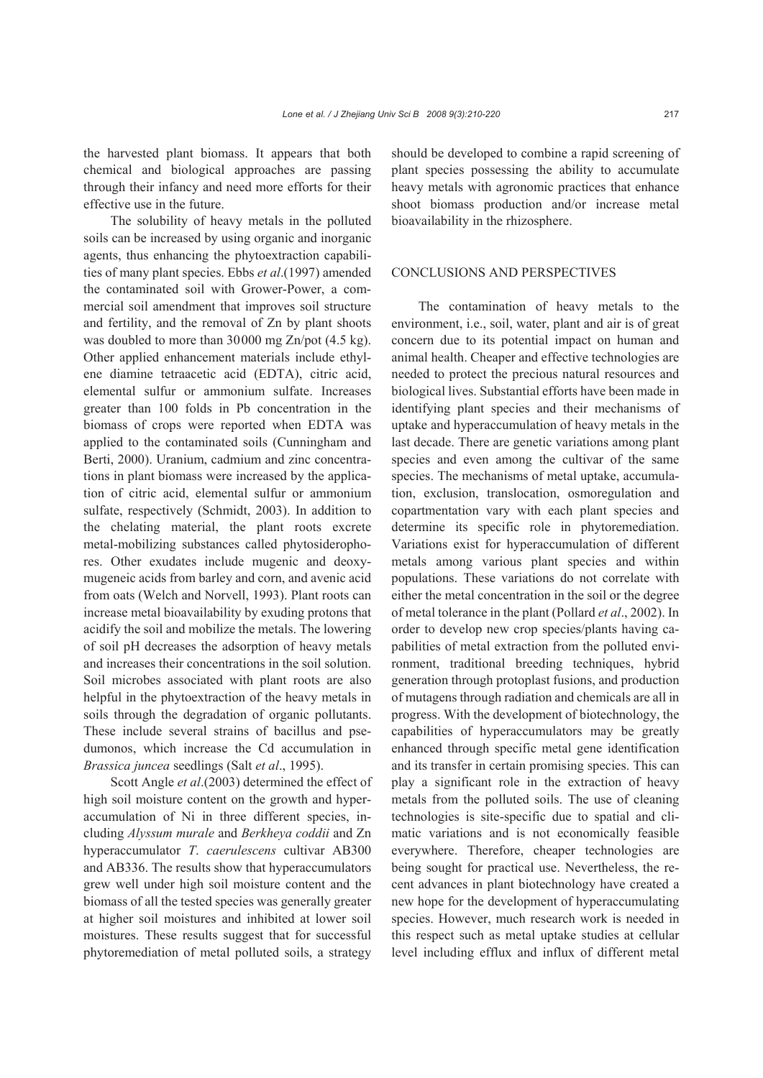the harvested plant biomass. It appears that both chemical and biological approaches are passing through their infancy and need more efforts for their effective use in the future.

The solubility of heavy metals in the polluted soils can be increased by using organic and inorganic agents, thus enhancing the phytoextraction capabilities of many plant species. Ebbs *et al*.(1997) amended the contaminated soil with Grower-Power, a commercial soil amendment that improves soil structure and fertility, and the removal of Zn by plant shoots was doubled to more than 30000 mg Zn/pot (4.5 kg). Other applied enhancement materials include ethylene diamine tetraacetic acid (EDTA), citric acid, elemental sulfur or ammonium sulfate. Increases greater than 100 folds in Pb concentration in the biomass of crops were reported when EDTA was applied to the contaminated soils (Cunningham and Berti, 2000). Uranium, cadmium and zinc concentrations in plant biomass were increased by the application of citric acid, elemental sulfur or ammonium sulfate, respectively (Schmidt, 2003). In addition to the chelating material, the plant roots excrete metal-mobilizing substances called phytosiderophores. Other exudates include mugenic and deoxymugeneic acids from barley and corn, and avenic acid from oats (Welch and Norvell, 1993). Plant roots can increase metal bioavailability by exuding protons that acidify the soil and mobilize the metals. The lowering of soil pH decreases the adsorption of heavy metals and increases their concentrations in the soil solution. Soil microbes associated with plant roots are also helpful in the phytoextraction of the heavy metals in soils through the degradation of organic pollutants. These include several strains of bacillus and psedumonos, which increase the Cd accumulation in *Brassica juncea* seedlings (Salt *et al*., 1995).

Scott Angle *et al*.(2003) determined the effect of high soil moisture content on the growth and hyperaccumulation of Ni in three different species, including *Alyssum murale* and *Berkheya coddii* and Zn hyperaccumulator *T*. *caerulescens* cultivar AB300 and AB336. The results show that hyperaccumulators grew well under high soil moisture content and the biomass of all the tested species was generally greater at higher soil moistures and inhibited at lower soil moistures. These results suggest that for successful phytoremediation of metal polluted soils, a strategy should be developed to combine a rapid screening of plant species possessing the ability to accumulate heavy metals with agronomic practices that enhance shoot biomass production and/or increase metal bioavailability in the rhizosphere.

#### CONCLUSIONS AND PERSPECTIVES

The contamination of heavy metals to the environment, i.e., soil, water, plant and air is of great concern due to its potential impact on human and animal health. Cheaper and effective technologies are needed to protect the precious natural resources and biological lives. Substantial efforts have been made in identifying plant species and their mechanisms of uptake and hyperaccumulation of heavy metals in the last decade. There are genetic variations among plant species and even among the cultivar of the same species. The mechanisms of metal uptake, accumulation, exclusion, translocation, osmoregulation and copartmentation vary with each plant species and determine its specific role in phytoremediation. Variations exist for hyperaccumulation of different metals among various plant species and within populations. These variations do not correlate with either the metal concentration in the soil or the degree of metal tolerance in the plant (Pollard *et al*., 2002). In order to develop new crop species/plants having capabilities of metal extraction from the polluted environment, traditional breeding techniques, hybrid generation through protoplast fusions, and production of mutagens through radiation and chemicals are all in progress. With the development of biotechnology, the capabilities of hyperaccumulators may be greatly enhanced through specific metal gene identification and its transfer in certain promising species. This can play a significant role in the extraction of heavy metals from the polluted soils. The use of cleaning technologies is site-specific due to spatial and climatic variations and is not economically feasible everywhere. Therefore, cheaper technologies are being sought for practical use. Nevertheless, the recent advances in plant biotechnology have created a new hope for the development of hyperaccumulating species. However, much research work is needed in this respect such as metal uptake studies at cellular level including efflux and influx of different metal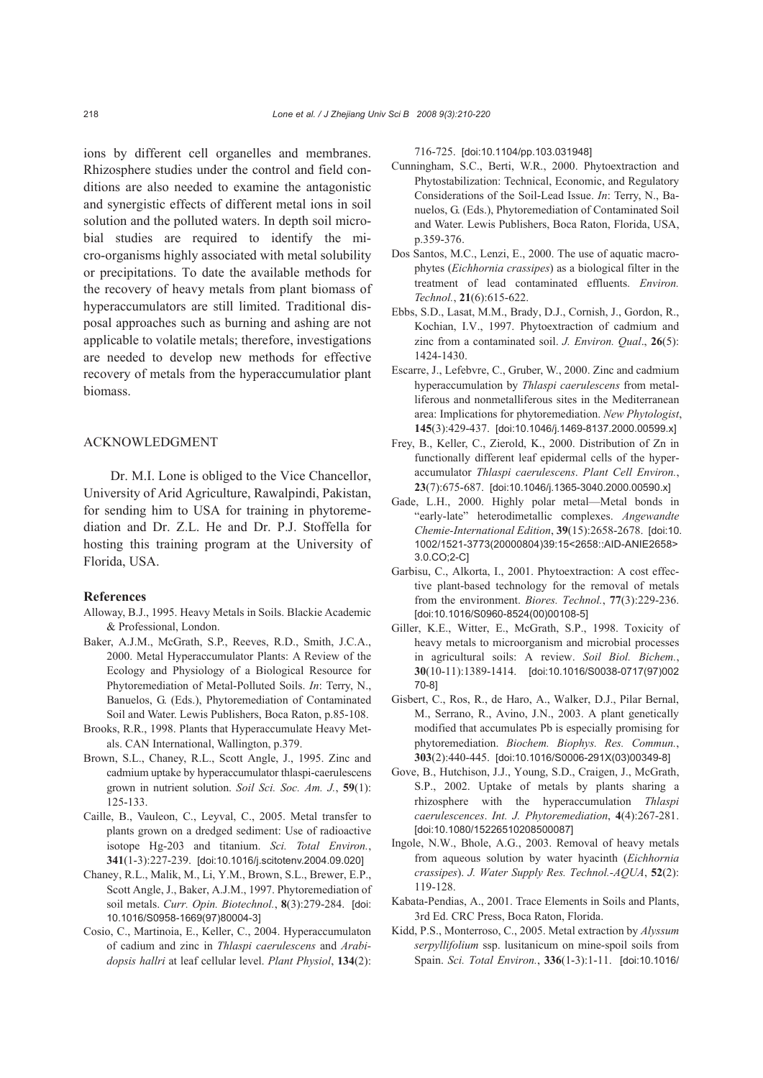ions by different cell organelles and membranes. Rhizosphere studies under the control and field conditions are also needed to examine the antagonistic and synergistic effects of different metal ions in soil solution and the polluted waters. In depth soil microbial studies are required to identify the micro-organisms highly associated with metal solubility or precipitations. To date the available methods for the recovery of heavy metals from plant biomass of hyperaccumulators are still limited. Traditional disposal approaches such as burning and ashing are not applicable to volatile metals; therefore, investigations are needed to develop new methods for effective recovery of metals from the hyperaccumulatior plant biomass.

#### ACKNOWLEDGMENT

Dr. M.I. Lone is obliged to the Vice Chancellor, University of Arid Agriculture, Rawalpindi, Pakistan, for sending him to USA for training in phytoremediation and Dr. Z.L. He and Dr. P.J. Stoffella for hosting this training program at the University of Florida, USA.

#### **References**

- Alloway, B.J., 1995. Heavy Metals in Soils. Blackie Academic & Professional, London.
- Baker, A.J.M., McGrath, S.P., Reeves, R.D., Smith, J.C.A., 2000. Metal Hyperaccumulator Plants: A Review of the Ecology and Physiology of a Biological Resource for Phytoremediation of Metal-Polluted Soils. *In*: Terry, N., Banuelos, G. (Eds.), Phytoremediation of Contaminated Soil and Water. Lewis Publishers, Boca Raton, p.85-108.
- Brooks, R.R., 1998. Plants that Hyperaccumulate Heavy Metals. CAN International, Wallington, p.379.
- Brown, S.L., Chaney, R.L., Scott Angle, J., 1995. Zinc and cadmium uptake by hyperaccumulator thlaspi-caerulescens grown in nutrient solution. *Soil Sci. Soc. Am. J.*, **59**(1): 125-133.
- Caille, B., Vauleon, C., Leyval, C., 2005. Metal transfer to plants grown on a dredged sediment: Use of radioactive isotope Hg-203 and titanium. *Sci. Total Environ.*, **341**(1-3):227-239. [doi:10.1016/j.scitotenv.2004.09.020]
- Chaney, R.L., Malik, M., Li, Y.M., Brown, S.L., Brewer, E.P., Scott Angle, J., Baker, A.J.M., 1997. Phytoremediation of soil metals. *Curr. Opin. Biotechnol.*, **8**(3):279-284. [doi: 10.1016/S0958-1669(97)80004-3]
- Cosio, C., Martinoia, E., Keller, C., 2004. Hyperaccumulaton of cadium and zinc in *Thlaspi caerulescens* and *Arabidopsis hallri* at leaf cellular level. *Plant Physiol*, **134**(2):

716-725. [doi:10.1104/pp.103.031948]

- Cunningham, S.C., Berti, W.R., 2000. Phytoextraction and Phytostabilization: Technical, Economic, and Regulatory Considerations of the Soil-Lead Issue. *In*: Terry, N., Banuelos, G. (Eds.), Phytoremediation of Contaminated Soil and Water. Lewis Publishers, Boca Raton, Florida, USA, p.359-376.
- Dos Santos, M.C., Lenzi, E., 2000. The use of aquatic macrophytes (*Eichhornia crassipes*) as a biological filter in the treatment of lead contaminated effluents. *Environ. Technol.*, **21**(6):615-622.
- Ebbs, S.D., Lasat, M.M., Brady, D.J., Cornish, J., Gordon, R., Kochian, I.V., 1997. Phytoextraction of cadmium and zinc from a contaminated soil. *J. Environ. Qual*., **26**(5): 1424-1430.
- Escarre, J., Lefebvre, C., Gruber, W., 2000. Zinc and cadmium hyperaccumulation by *Thlaspi caerulescens* from metalliferous and nonmetalliferous sites in the Mediterranean area: Implications for phytoremediation. *New Phytologist*, **145**(3):429-437. [doi:10.1046/j.1469-8137.2000.00599.x]
- Frey, B., Keller, C., Zierold, K., 2000. Distribution of Zn in functionally different leaf epidermal cells of the hyperaccumulator *Thlaspi caerulescens*. *Plant Cell Environ.*, **23**(7):675-687. [doi:10.1046/j.1365-3040.2000.00590.x]
- Gade, L.H., 2000. Highly polar metal—Metal bonds in "early-late" heterodimetallic complexes. *Angewandte Chemie-International Edition*, **39**(15):2658-2678. [doi:10. 1002/1521-3773(20000804)39:15<2658::AID-ANIE2658> 3.0.CO;2-C]
- Garbisu, C., Alkorta, I., 2001. Phytoextraction: A cost effective plant-based technology for the removal of metals from the environment. *Biores. Technol.*, **77**(3):229-236. [doi:10.1016/S0960-8524(00)00108-5]
- Giller, K.E., Witter, E., McGrath, S.P., 1998. Toxicity of heavy metals to microorganism and microbial processes in agricultural soils: A review. *Soil Biol. Bichem.*, **30**(10-11):1389-1414. [doi:10.1016/S0038-0717(97)002 70-8]
- Gisbert, C., Ros, R., de Haro, A., Walker, D.J., Pilar Bernal, M., Serrano, R., Avino, J.N., 2003. A plant genetically modified that accumulates Pb is especially promising for phytoremediation. *Biochem. Biophys. Res. Commun.*, **303**(2):440-445. [doi:10.1016/S0006-291X(03)00349-8]
- Gove, B., Hutchison, J.J., Young, S.D., Craigen, J., McGrath, S.P., 2002. Uptake of metals by plants sharing a rhizosphere with the hyperaccumulation *Thlaspi caerulescences*. *Int. J. Phytoremediation*, **4**(4):267-281. [doi:10.1080/15226510208500087]
- Ingole, N.W., Bhole, A.G., 2003. Removal of heavy metals from aqueous solution by water hyacinth (*Eichhornia crassipes*). *J. Water Supply Res. Technol.-AQUA*, **52**(2): 119-128.
- Kabata-Pendias, A., 2001. Trace Elements in Soils and Plants, 3rd Ed. CRC Press, Boca Raton, Florida.
- Kidd, P.S., Monterroso, C., 2005. Metal extraction by *Alyssum serpyllifolium* ssp. lusitanicum on mine-spoil soils from Spain. *Sci. Total Environ.*, **336**(1-3):1-11. [doi:10.1016/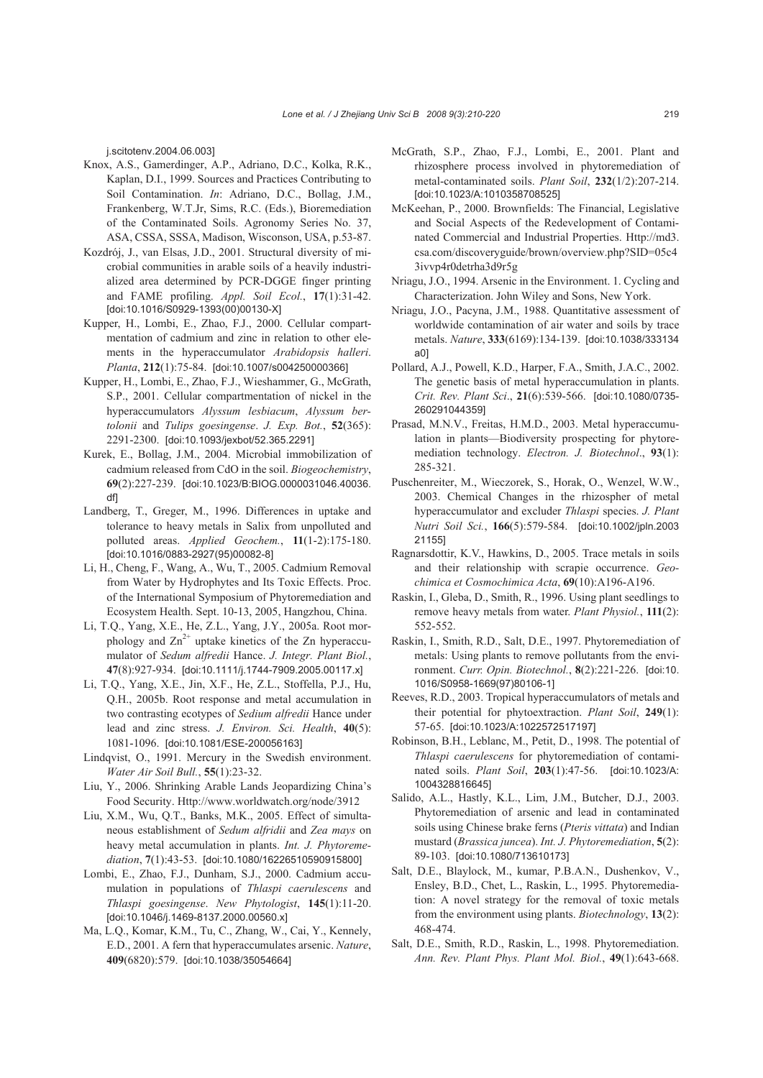j.scitotenv.2004.06.003]

- Knox, A.S., Gamerdinger, A.P., Adriano, D.C., Kolka, R.K., Kaplan, D.I., 1999. Sources and Practices Contributing to Soil Contamination. *In*: Adriano, D.C., Bollag, J.M., Frankenberg, W.T.Jr, Sims, R.C. (Eds.), Bioremediation of the Contaminated Soils. Agronomy Series No. 37, ASA, CSSA, SSSA, Madison, Wisconson, USA, p.53-87.
- Kozdrój, J., van Elsas, J.D., 2001. Structural diversity of microbial communities in arable soils of a heavily industrialized area determined by PCR-DGGE finger printing and FAME profiling. *Appl. Soil Ecol.*, **17**(1):31-42. [doi:10.1016/S0929-1393(00)00130-X]
- Kupper, H., Lombi, E., Zhao, F.J., 2000. Cellular compartmentation of cadmium and zinc in relation to other elements in the hyperaccumulator *Arabidopsis halleri*. *Planta*, **212**(1):75-84. [doi:10.1007/s004250000366]
- Kupper, H., Lombi, E., Zhao, F.J., Wieshammer, G., McGrath, S.P., 2001. Cellular compartmentation of nickel in the hyperaccumulators *Alyssum lesbiacum*, *Alyssum bertolonii* and *Tulips goesingense*. *J. Exp. Bot.*, **52**(365): 2291-2300. [doi:10.1093/jexbot/52.365.2291]
- Kurek, E., Bollag, J.M., 2004. Microbial immobilization of cadmium released from CdO in the soil. *Biogeochemistry*, **69**(2):227-239. [doi:10.1023/B:BIOG.0000031046.40036. df]
- Landberg, T., Greger, M., 1996. Differences in uptake and tolerance to heavy metals in Salix from unpolluted and polluted areas. *Applied Geochem.*, **11**(1-2):175-180. [doi:10.1016/0883-2927(95)00082-8]
- Li, H., Cheng, F., Wang, A., Wu, T., 2005. Cadmium Removal from Water by Hydrophytes and Its Toxic Effects. Proc. of the International Symposium of Phytoremediation and Ecosystem Health. Sept. 10-13, 2005, Hangzhou, China.
- Li, T.Q., Yang, X.E., He, Z.L., Yang, J.Y., 2005a. Root morphology and  $Zn^{2+}$  uptake kinetics of the Zn hyperaccumulator of *Sedum alfredii* Hance. *J. Integr. Plant Biol.*, **47**(8):927-934. [doi:10.1111/j.1744-7909.2005.00117.x]
- Li, T.Q., Yang, X.E., Jin, X.F., He, Z.L., Stoffella, P.J., Hu, Q.H., 2005b. Root response and metal accumulation in two contrasting ecotypes of *Sedium alfredii* Hance under lead and zinc stress. *J. Environ. Sci. Health*, **40**(5): 1081-1096. [doi:10.1081/ESE-200056163]
- Lindqvist, O., 1991. Mercury in the Swedish environment. *Water Air Soil Bull.*, **55**(1):23-32.
- Liu, Y., 2006. Shrinking Arable Lands Jeopardizing China's Food Security. Http://www.worldwatch.org/node/3912
- Liu, X.M., Wu, Q.T., Banks, M.K., 2005. Effect of simultaneous establishment of *Sedum alfridii* and *Zea mays* on heavy metal accumulation in plants. *Int. J. Phytoremediation*, **7**(1):43-53. [doi:10.1080/16226510590915800]
- Lombi, E., Zhao, F.J., Dunham, S.J., 2000. Cadmium accumulation in populations of *Thlaspi caerulescens* and *Thlaspi goesingense*. *New Phytologist*, **145**(1):11-20. [doi:10.1046/j.1469-8137.2000.00560.x]
- Ma, L.Q., Komar, K.M., Tu, C., Zhang, W., Cai, Y., Kennely, E.D., 2001. A fern that hyperaccumulates arsenic. *Nature*, **409**(6820):579. [doi:10.1038/35054664]
- McGrath, S.P., Zhao, F.J., Lombi, E., 2001. Plant and rhizosphere process involved in phytoremediation of metal-contaminated soils. *Plant Soil*, **232**(1/2):207-214. [doi:10.1023/A:1010358708525]
- McKeehan, P., 2000. Brownfields: The Financial, Legislative and Social Aspects of the Redevelopment of Contaminated Commercial and Industrial Properties. Http://md3. csa.com/discoveryguide/brown/overview.php?SID=05c4 3ivvp4r0detrha3d9r5g
- Nriagu, J.O., 1994. Arsenic in the Environment. 1. Cycling and Characterization. John Wiley and Sons, New York.
- Nriagu, J.O., Pacyna, J.M., 1988. Quantitative assessment of worldwide contamination of air water and soils by trace metals. *Nature*, **333**(6169):134-139. [doi:10.1038/333134 a0]
- Pollard, A.J., Powell, K.D., Harper, F.A., Smith, J.A.C., 2002. The genetic basis of metal hyperaccumulation in plants. *Crit. Rev. Plant Sci*., **21**(6):539-566. [doi:10.1080/0735- 260291044359]
- Prasad, M.N.V., Freitas, H.M.D., 2003. Metal hyperaccumulation in plants—Biodiversity prospecting for phytoremediation technology. *Electron. J. Biotechnol*., **93**(1): 285-321.
- Puschenreiter, M., Wieczorek, S., Horak, O., Wenzel, W.W., 2003. Chemical Changes in the rhizospher of metal hyperaccumulator and excluder *Thlaspi* species. *J. Plant Nutri Soil Sci.*, **166**(5):579-584. [doi:10.1002/jpln.2003 21155]
- Ragnarsdottir, K.V., Hawkins, D., 2005. Trace metals in soils and their relationship with scrapie occurrence. *Geochimica et Cosmochimica Acta*, **69**(10):A196-A196.
- Raskin, I., Gleba, D., Smith, R., 1996. Using plant seedlings to remove heavy metals from water. *Plant Physiol.*, **111**(2): 552-552.
- Raskin, I., Smith, R.D., Salt, D.E., 1997. Phytoremediation of metals: Using plants to remove pollutants from the environment. *Curr. Opin. Biotechnol.*, **8**(2):221-226. [doi:10. 1016/S0958-1669(97)80106-1]
- Reeves, R.D., 2003. Tropical hyperaccumulators of metals and their potential for phytoextraction. *Plant Soil*, **249**(1): 57-65. [doi:10.1023/A:1022572517197]
- Robinson, B.H., Leblanc, M., Petit, D., 1998. The potential of *Thlaspi caerulescens* for phytoremediation of contaminated soils. *Plant Soil*, **203**(1):47-56. [doi:10.1023/A: 1004328816645]
- Salido, A.L., Hastly, K.L., Lim, J.M., Butcher, D.J., 2003. Phytoremediation of arsenic and lead in contaminated soils using Chinese brake ferns (*Pteris vittata*) and Indian mustard (*Brassica juncea*). *Int. J. Phytoremediation*, **5**(2): 89-103. [doi:10.1080/713610173]
- Salt, D.E., Blaylock, M., kumar, P.B.A.N., Dushenkov, V., Ensley, B.D., Chet, L., Raskin, L., 1995. Phytoremediation: A novel strategy for the removal of toxic metals from the environment using plants. *Biotechnology*, **13**(2): 468-474.
- Salt, D.E., Smith, R.D., Raskin, L., 1998. Phytoremediation. *Ann. Rev. Plant Phys. Plant Mol. Biol.*, **49**(1):643-668.